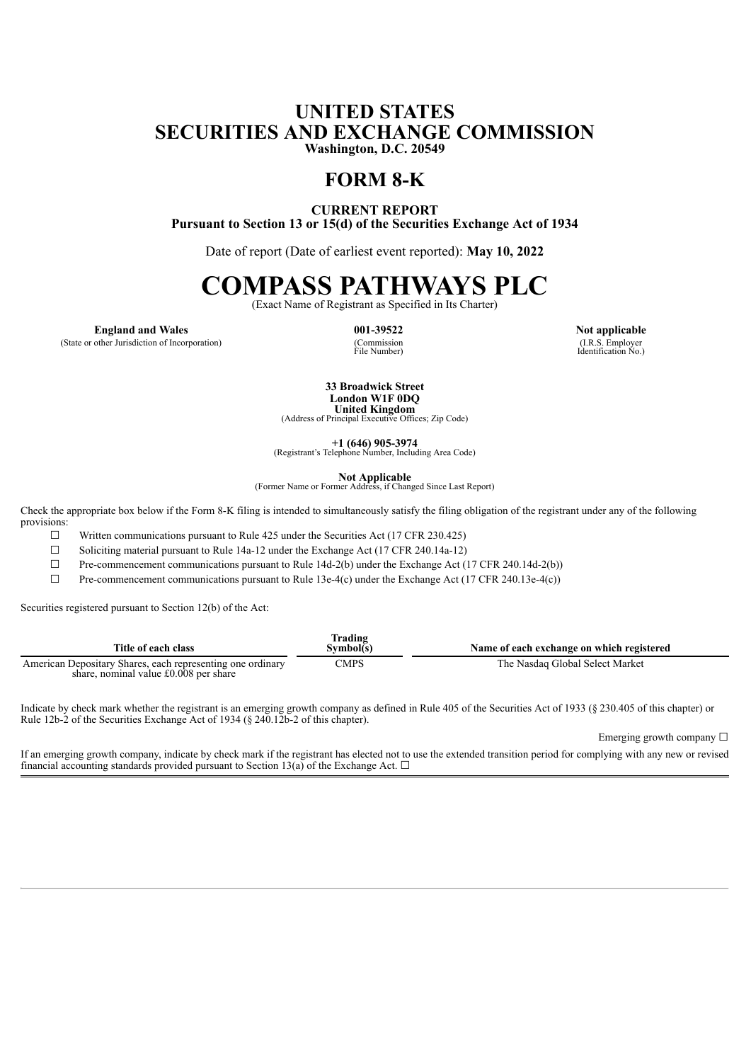# **UNITED STATES SECURITIES AND EXCHANGE COMMISSION Washington, D.C. 20549**

# **FORM 8-K**

**CURRENT REPORT Pursuant to Section 13 or 15(d) of the Securities Exchange Act of 1934**

Date of report (Date of earliest event reported): **May 10, 2022**

# **COMPASS PATHWAYS PLC**

(Exact Name of Registrant as Specified in Its Charter)

**England and Wales 001-39522 Not applicable**

(State or other Jurisdiction of Incorporation)

(Commission<br>File Number)

(I.R.S. Employer Identification No.)

**33 Broadwick Street London W1F 0DQ**

**United Kingdom** (Address of Principal Executive Offices; Zip Code)

**+1 (646) 905-3974** (Registrant's Telephone Number, Including Area Code)

**Not Applicable** (Former Name or Former Address, if Changed Since Last Report)

Check the appropriate box below if the Form 8-K filing is intended to simultaneously satisfy the filing obligation of the registrant under any of the following provisions:

 $\Box$  Written communications pursuant to Rule 425 under the Securities Act (17 CFR 230.425)

☐ Soliciting material pursuant to Rule 14a-12 under the Exchange Act (17 CFR 240.14a-12)

☐ Pre-commencement communications pursuant to Rule 14d-2(b) under the Exchange Act (17 CFR 240.14d-2(b))

☐ Pre-commencement communications pursuant to Rule 13e-4(c) under the Exchange Act (17 CFR 240.13e-4(c))

Securities registered pursuant to Section 12(b) of the Act:

| Title of each class                                                                                 | rading)<br>Symbol(s) | Name of each exchange on which registered |
|-----------------------------------------------------------------------------------------------------|----------------------|-------------------------------------------|
| American Depositary Shares, each representing one ordinary<br>share, nominal value £0,008 per share | CMPS                 | The Nasdaq Global Select Market           |

Indicate by check mark whether the registrant is an emerging growth company as defined in Rule 405 of the Securities Act of 1933 (§ 230.405 of this chapter) or Rule 12b-2 of the Securities Exchange Act of 1934 (§ 240.12b-2 of this chapter).

Emerging growth company ☐

If an emerging growth company, indicate by check mark if the registrant has elected not to use the extended transition period for complying with any new or revised financial accounting standards provided pursuant to Section 13(a) of the Exchange Act.  $\Box$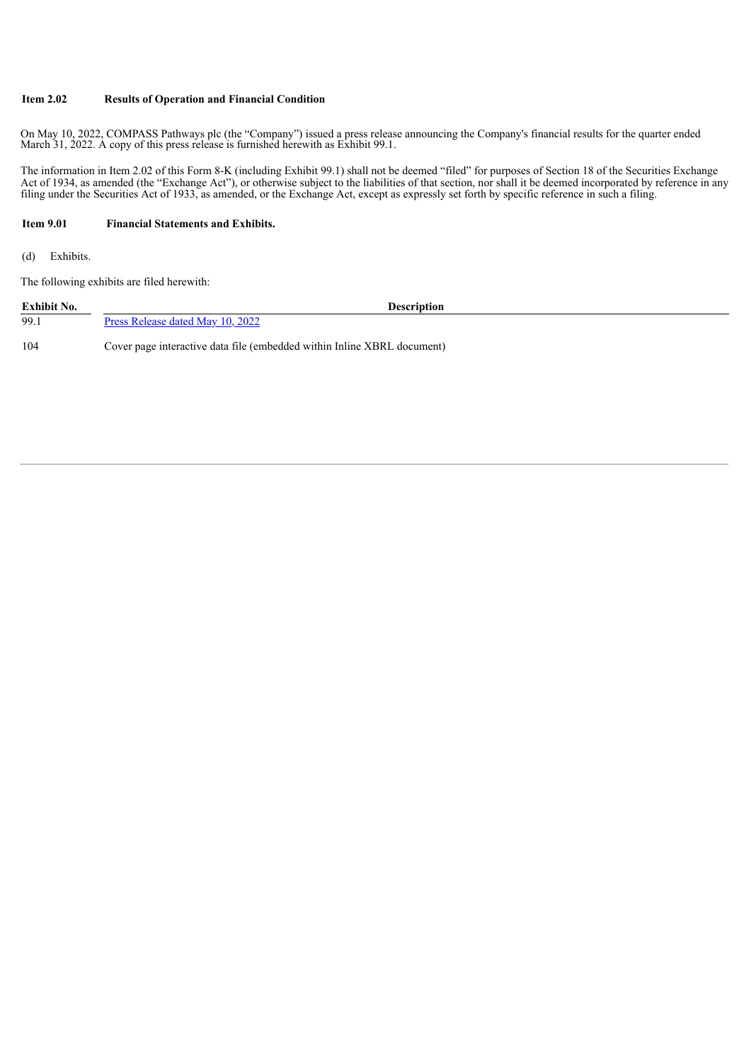#### **Item 2.02 Results of Operation and Financial Condition**

On May 10, 2022, COMPASS Pathways plc (the "Company") issued a press release announcing the Company's financial results for the quarter ended March 31, 2022. A copy of this press release is furnished herewith as Exhibit 99.1.

The information in Item 2.02 of this Form 8-K (including Exhibit 99.1) shall not be deemed "filed" for purposes of Section 18 of the Securities Exchange Act of 1934, as amended (the "Exchange Act"), or otherwise subject to the liabilities of that section, nor shall it be deemed incorporated by reference in any filing under the Securities Act of 1933, as amended, or the Exchange Act, except as expressly set forth by specific reference in such a filing.

#### **Item 9.01 Financial Statements and Exhibits.**

(d) Exhibits.

The following exhibits are filed herewith:

| Exhibit No. | <b>Description</b>                                                      |  |
|-------------|-------------------------------------------------------------------------|--|
| 99.1        | <u>Press Release dated May 10, 2022</u>                                 |  |
| 104         | Cover page interactive data file (embedded within Inline XBRL document) |  |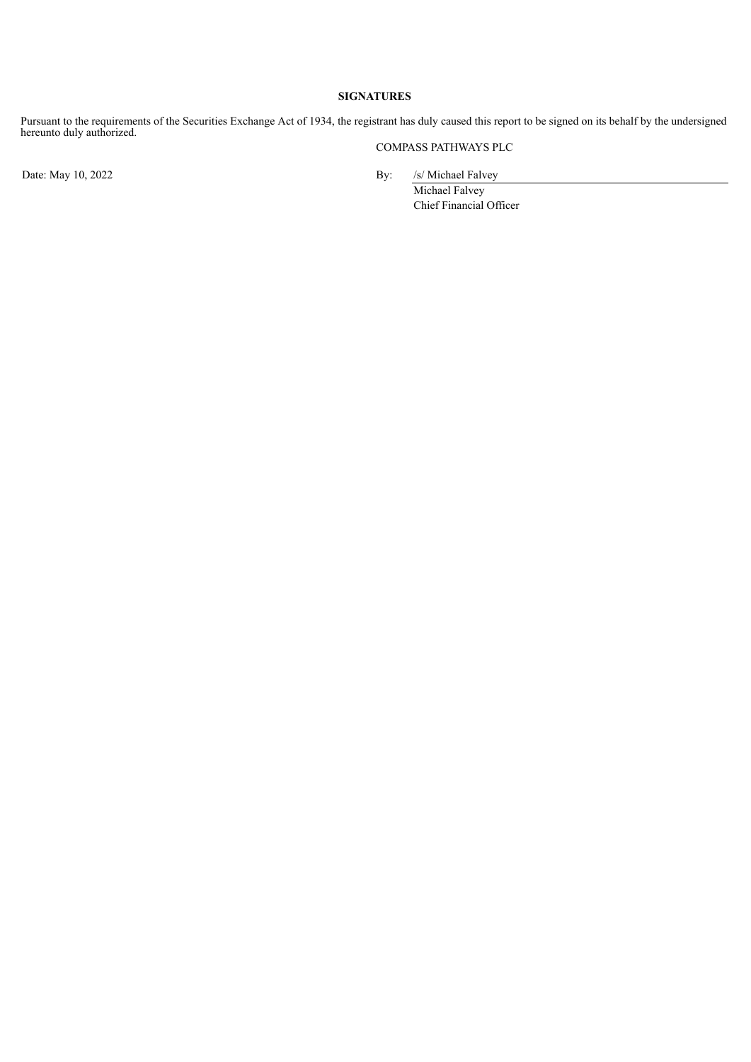#### **SIGNATURES**

Pursuant to the requirements of the Securities Exchange Act of 1934, the registrant has duly caused this report to be signed on its behalf by the undersigned hereunto duly authorized.

COMPASS PATHWAYS PLC

Date: May 10, 2022 By: /s/ Michael Falvey

Michael Falvey Chief Financial Officer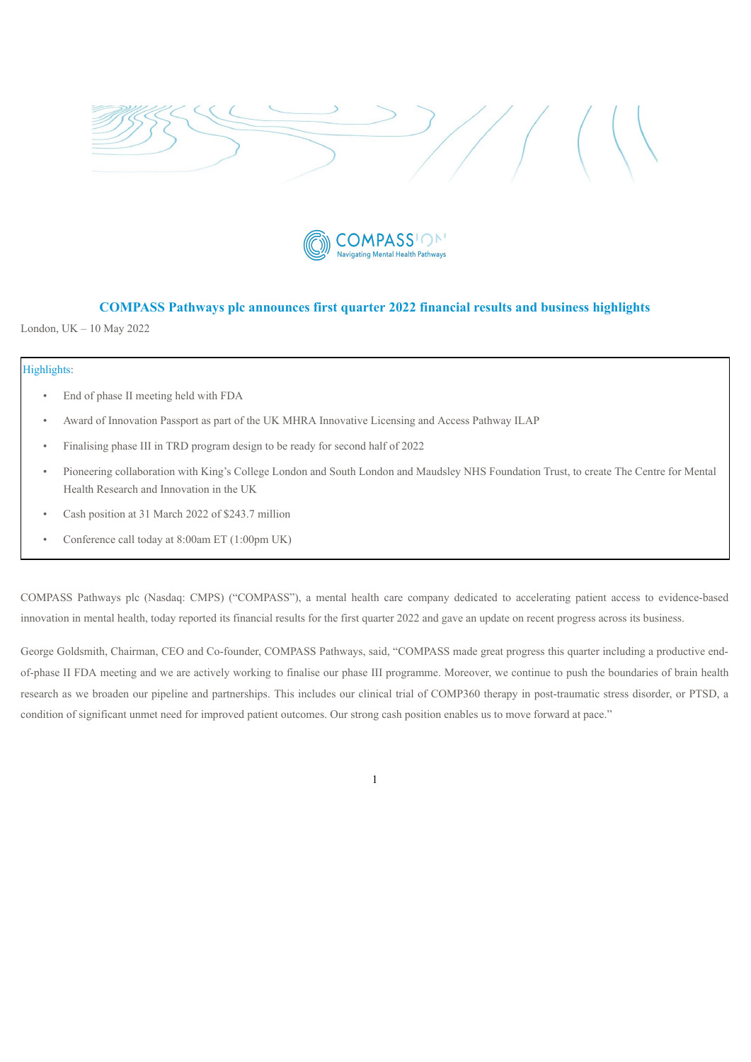<span id="page-3-0"></span>



# **COMPASS Pathways plc announces first quarter 2022 financial results and business highlights**

London, UK – 10 May 2022

#### Highlights:

- End of phase II meeting held with FDA
- Award of Innovation Passport as part of the UK MHRA Innovative Licensing and Access Pathway ILAP
- Finalising phase III in TRD program design to be ready for second half of 2022
- Pioneering collaboration with King's College London and South London and Maudsley NHS Foundation Trust, to create The Centre for Mental Health Research and Innovation in the UK
- Cash position at 31 March 2022 of \$243.7 million
- Conference call today at 8:00am ET (1:00pm UK)

COMPASS Pathways plc (Nasdaq: CMPS) ("COMPASS"), a mental health care company dedicated to accelerating patient access to evidence-based innovation in mental health, today reported its financial results for the first quarter 2022 and gave an update on recent progress across its business.

George Goldsmith, Chairman, CEO and Co-founder, COMPASS Pathways, said, "COMPASS made great progress this quarter including a productive endof-phase II FDA meeting and we are actively working to finalise our phase III programme. Moreover, we continue to push the boundaries of brain health research as we broaden our pipeline and partnerships. This includes our clinical trial of COMP360 therapy in post-traumatic stress disorder, or PTSD, a condition of significant unmet need for improved patient outcomes. Our strong cash position enables us to move forward at pace."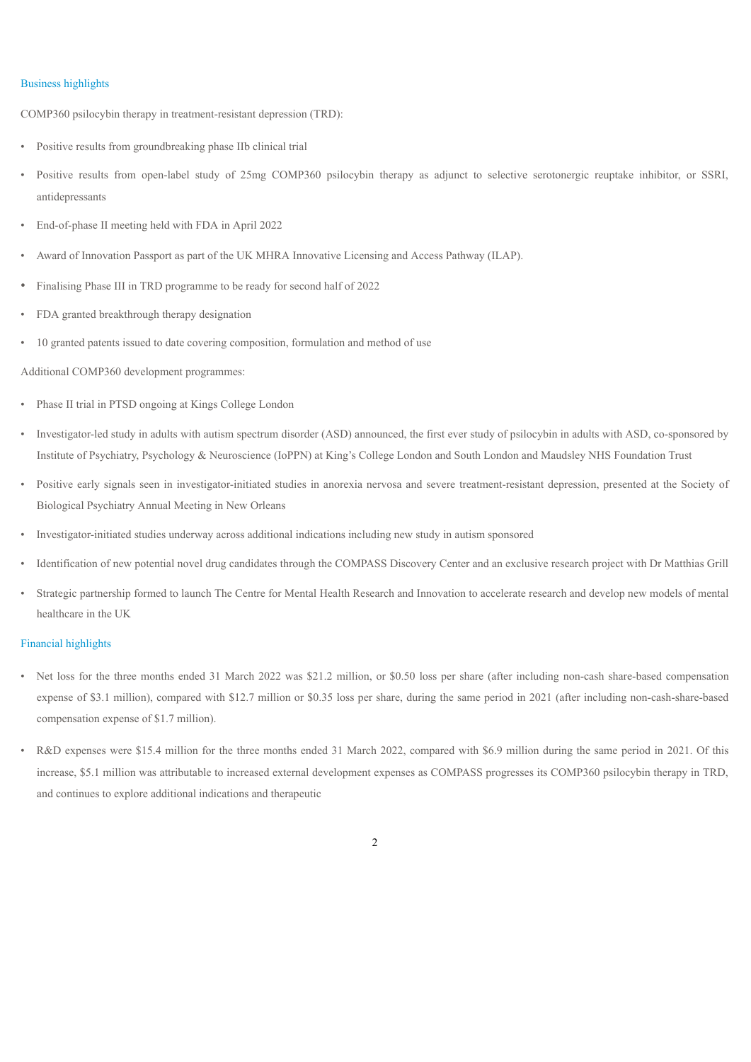#### Business highlights

COMP360 psilocybin therapy in treatment-resistant depression (TRD):

- Positive results from groundbreaking phase IIb clinical trial
- Positive results from open-label study of 25mg COMP360 psilocybin therapy as adjunct to selective serotonergic reuptake inhibitor, or SSRI, antidepressants
- End-of-phase II meeting held with FDA in April 2022
- Award of Innovation Passport as part of the UK MHRA Innovative Licensing and Access Pathway (ILAP).
- Finalising Phase III in TRD programme to be ready for second half of 2022
- FDA granted breakthrough therapy designation
- 10 granted patents issued to date covering composition, formulation and method of use

Additional COMP360 development programmes:

- Phase II trial in PTSD ongoing at Kings College London
- Investigator-led study in adults with autism spectrum disorder (ASD) announced, the first ever study of psilocybin in adults with ASD, co-sponsored by Institute of Psychiatry, Psychology & Neuroscience (IoPPN) at King's College London and South London and Maudsley NHS Foundation Trust
- Positive early signals seen in investigator-initiated studies in anorexia nervosa and severe treatment-resistant depression, presented at the Society of Biological Psychiatry Annual Meeting in New Orleans
- Investigator-initiated studies underway across additional indications including new study in autism sponsored
- Identification of new potential novel drug candidates through the COMPASS Discovery Center and an exclusive research project with Dr Matthias Grill
- Strategic partnership formed to launch The Centre for Mental Health Research and Innovation to accelerate research and develop new models of mental healthcare in the UK

#### Financial highlights

- Net loss for the three months ended 31 March 2022 was \$21.2 million, or \$0.50 loss per share (after including non-cash share-based compensation expense of \$3.1 million), compared with \$12.7 million or \$0.35 loss per share, during the same period in 2021 (after including non-cash-share-based compensation expense of \$1.7 million).
- R&D expenses were \$15.4 million for the three months ended 31 March 2022, compared with \$6.9 million during the same period in 2021. Of this increase, \$5.1 million was attributable to increased external development expenses as COMPASS progresses its COMP360 psilocybin therapy in TRD, and continues to explore additional indications and therapeutic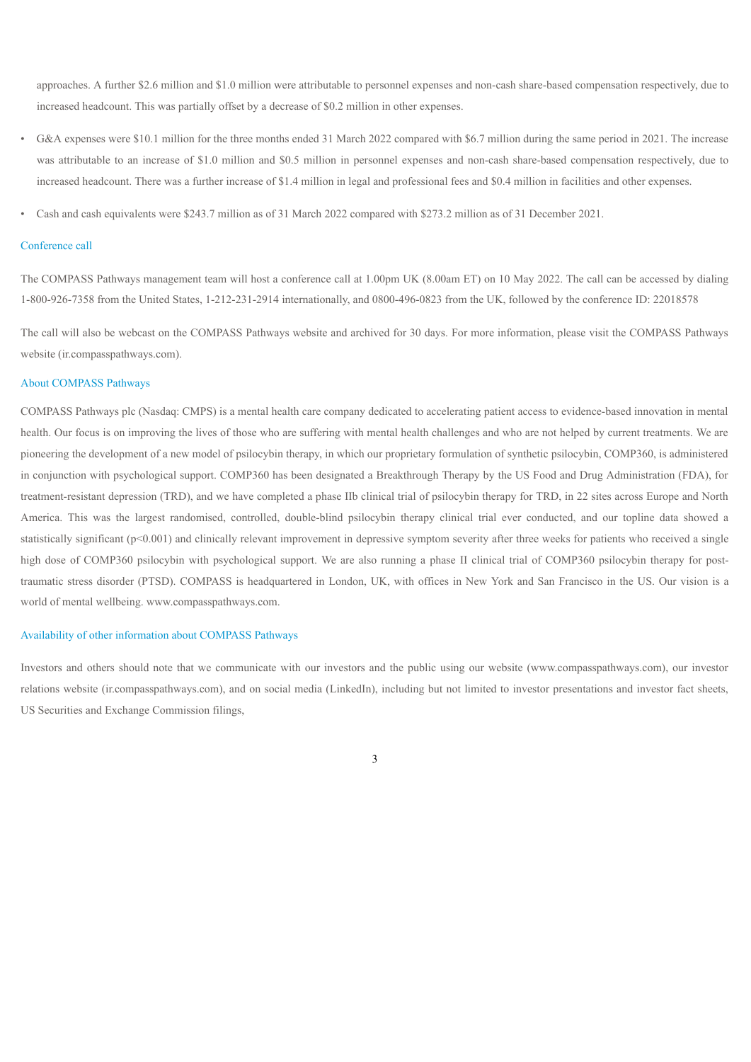approaches. A further \$2.6 million and \$1.0 million were attributable to personnel expenses and non-cash share-based compensation respectively, due to increased headcount. This was partially offset by a decrease of \$0.2 million in other expenses.

- G&A expenses were \$10.1 million for the three months ended 31 March 2022 compared with \$6.7 million during the same period in 2021. The increase was attributable to an increase of \$1.0 million and \$0.5 million in personnel expenses and non-cash share-based compensation respectively, due to increased headcount. There was a further increase of \$1.4 million in legal and professional fees and \$0.4 million in facilities and other expenses.
- Cash and cash equivalents were \$243.7 million as of 31 March 2022 compared with \$273.2 million as of 31 December 2021.

#### Conference call

The COMPASS Pathways management team will host a conference call at 1.00pm UK (8.00am ET) on 10 May 2022. The call can be accessed by dialing 1-800-926-7358 from the United States, 1-212-231-2914 internationally, and 0800-496-0823 from the UK, followed by the conference ID: 22018578

The call will also be webcast on the COMPASS Pathways website and archived for 30 days. For more information, please visit the COMPASS Pathways website (ir.compasspathways.com).

#### About COMPASS Pathways

COMPASS Pathways plc (Nasdaq: CMPS) is a mental health care company dedicated to accelerating patient access to evidence-based innovation in mental health. Our focus is on improving the lives of those who are suffering with mental health challenges and who are not helped by current treatments. We are pioneering the development of a new model of psilocybin therapy, in which our proprietary formulation of synthetic psilocybin, COMP360, is administered in conjunction with psychological support. COMP360 has been designated a Breakthrough Therapy by the US Food and Drug Administration (FDA), for treatment-resistant depression (TRD), and we have completed a phase IIb clinical trial of psilocybin therapy for TRD, in 22 sites across Europe and North America. This was the largest randomised, controlled, double-blind psilocybin therapy clinical trial ever conducted, and our topline data showed a statistically significant (p<0.001) and clinically relevant improvement in depressive symptom severity after three weeks for patients who received a single high dose of COMP360 psilocybin with psychological support. We are also running a phase II clinical trial of COMP360 psilocybin therapy for posttraumatic stress disorder (PTSD). COMPASS is headquartered in London, UK, with offices in New York and San Francisco in the US. Our vision is a world of mental wellbeing. www.compasspathways.com.

#### Availability of other information about COMPASS Pathways

Investors and others should note that we communicate with our investors and the public using our website (www.compasspathways.com), our investor relations website (ir.compasspathways.com), and on social media (LinkedIn), including but not limited to investor presentations and investor fact sheets, US Securities and Exchange Commission filings,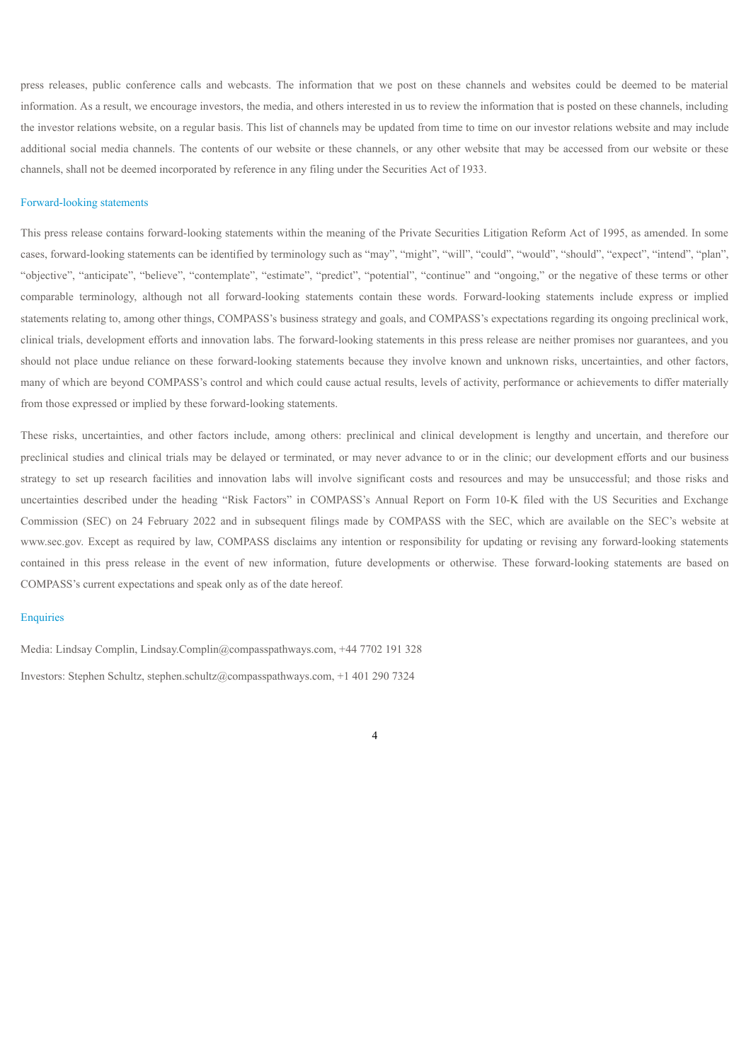press releases, public conference calls and webcasts. The information that we post on these channels and websites could be deemed to be material information. As a result, we encourage investors, the media, and others interested in us to review the information that is posted on these channels, including the investor relations website, on a regular basis. This list of channels may be updated from time to time on our investor relations website and may include additional social media channels. The contents of our website or these channels, or any other website that may be accessed from our website or these channels, shall not be deemed incorporated by reference in any filing under the Securities Act of 1933.

#### Forward-looking statements

This press release contains forward-looking statements within the meaning of the Private Securities Litigation Reform Act of 1995, as amended. In some cases, forward-looking statements can be identified by terminology such as "may", "might", "will", "could", "would", "should", "expect", "intend", "plan", "objective", "anticipate", "believe", "contemplate", "estimate", "predict", "potential", "continue" and "ongoing," or the negative of these terms or other comparable terminology, although not all forward-looking statements contain these words. Forward-looking statements include express or implied statements relating to, among other things, COMPASS's business strategy and goals, and COMPASS's expectations regarding its ongoing preclinical work, clinical trials, development efforts and innovation labs. The forward-looking statements in this press release are neither promises nor guarantees, and you should not place undue reliance on these forward-looking statements because they involve known and unknown risks, uncertainties, and other factors, many of which are beyond COMPASS's control and which could cause actual results, levels of activity, performance or achievements to differ materially from those expressed or implied by these forward-looking statements.

These risks, uncertainties, and other factors include, among others: preclinical and clinical development is lengthy and uncertain, and therefore our preclinical studies and clinical trials may be delayed or terminated, or may never advance to or in the clinic; our development efforts and our business strategy to set up research facilities and innovation labs will involve significant costs and resources and may be unsuccessful; and those risks and uncertainties described under the heading "Risk Factors" in COMPASS's Annual Report on Form 10-K filed with the US Securities and Exchange Commission (SEC) on 24 February 2022 and in subsequent filings made by COMPASS with the SEC, which are available on the SEC's website at www.sec.gov. Except as required by law, COMPASS disclaims any intention or responsibility for updating or revising any forward-looking statements contained in this press release in the event of new information, future developments or otherwise. These forward-looking statements are based on COMPASS's current expectations and speak only as of the date hereof.

#### **Enquiries**

Media: Lindsay Complin, Lindsay.Complin@compasspathways.com, +44 7702 191 328 Investors: Stephen Schultz, stephen.schultz@compasspathways.com, +1 401 290 7324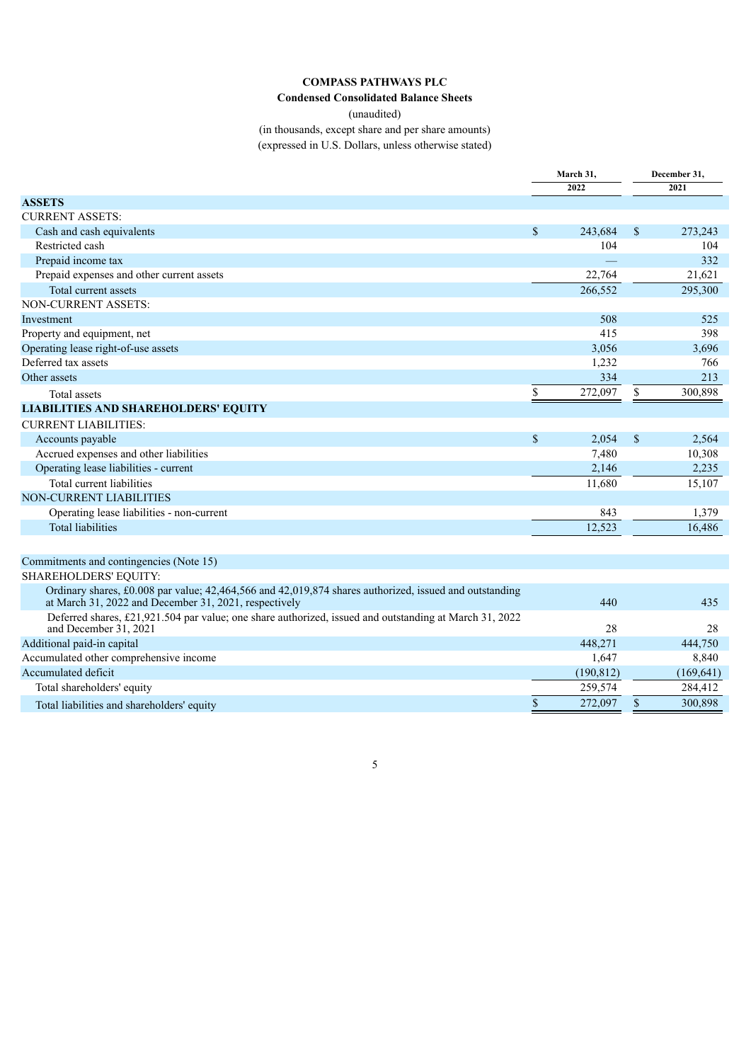## **COMPASS PATHWAYS PLC**

**Condensed Consolidated Balance Sheets**

(unaudited)

(in thousands, except share and per share amounts) (expressed in U.S. Dollars, unless otherwise stated)

|                                                                                                                                                                 | March 31,          |            |               | December 31, |  |
|-----------------------------------------------------------------------------------------------------------------------------------------------------------------|--------------------|------------|---------------|--------------|--|
|                                                                                                                                                                 |                    | 2022       |               | 2021         |  |
| <b>ASSETS</b>                                                                                                                                                   |                    |            |               |              |  |
| <b>CURRENT ASSETS:</b>                                                                                                                                          |                    |            |               |              |  |
| Cash and cash equivalents                                                                                                                                       | $\mathbf S$        | 243,684    | $\mathbf S$   | 273.243      |  |
| Restricted cash                                                                                                                                                 |                    | 104        |               | 104          |  |
| Prepaid income tax                                                                                                                                              |                    |            |               | 332          |  |
| Prepaid expenses and other current assets                                                                                                                       |                    | 22,764     |               | 21,621       |  |
| Total current assets                                                                                                                                            |                    | 266,552    |               | 295,300      |  |
| <b>NON-CURRENT ASSETS:</b>                                                                                                                                      |                    |            |               |              |  |
| Investment                                                                                                                                                      |                    | 508        |               | 525          |  |
| Property and equipment, net                                                                                                                                     |                    | 415        |               | 398          |  |
| Operating lease right-of-use assets                                                                                                                             |                    | 3,056      |               | 3,696        |  |
| Deferred tax assets                                                                                                                                             |                    | 1,232      |               | 766          |  |
| Other assets                                                                                                                                                    |                    | 334        |               | 213          |  |
| Total assets                                                                                                                                                    | \$                 | 272,097    | \$            | 300,898      |  |
| <b>LIABILITIES AND SHAREHOLDERS' EQUITY</b>                                                                                                                     |                    |            |               |              |  |
| <b>CURRENT LIABILITIES:</b>                                                                                                                                     |                    |            |               |              |  |
| Accounts payable                                                                                                                                                | $\mathbf{\hat{S}}$ | 2,054      | \$            | 2,564        |  |
| Accrued expenses and other liabilities                                                                                                                          |                    | 7,480      |               | 10,308       |  |
| Operating lease liabilities - current                                                                                                                           |                    | 2,146      |               | 2,235        |  |
| Total current liabilities                                                                                                                                       |                    | 11,680     |               | 15,107       |  |
| <b>NON-CURRENT LIABILITIES</b>                                                                                                                                  |                    |            |               |              |  |
| Operating lease liabilities - non-current                                                                                                                       |                    | 843        |               | 1,379        |  |
| <b>Total liabilities</b>                                                                                                                                        |                    | 12,523     |               | 16,486       |  |
|                                                                                                                                                                 |                    |            |               |              |  |
| Commitments and contingencies (Note 15)                                                                                                                         |                    |            |               |              |  |
| SHAREHOLDERS' EQUITY:                                                                                                                                           |                    |            |               |              |  |
| Ordinary shares, £0.008 par value; 42,464,566 and 42,019,874 shares authorized, issued and outstanding<br>at March 31, 2022 and December 31, 2021, respectively |                    | 440        |               | 435          |  |
| Deferred shares, £21,921.504 par value; one share authorized, issued and outstanding at March 31, 2022<br>and December 31, 2021                                 |                    | 28         |               | 28           |  |
| Additional paid-in capital                                                                                                                                      |                    | 448,271    |               | 444,750      |  |
| Accumulated other comprehensive income                                                                                                                          |                    | 1,647      |               | 8,840        |  |
| Accumulated deficit                                                                                                                                             |                    | (190, 812) |               | (169, 641)   |  |
| Total shareholders' equity                                                                                                                                      |                    | 259,574    |               | 284,412      |  |
| Total liabilities and shareholders' equity                                                                                                                      | \$                 | 272,097    | $\mathcal{S}$ | 300,898      |  |